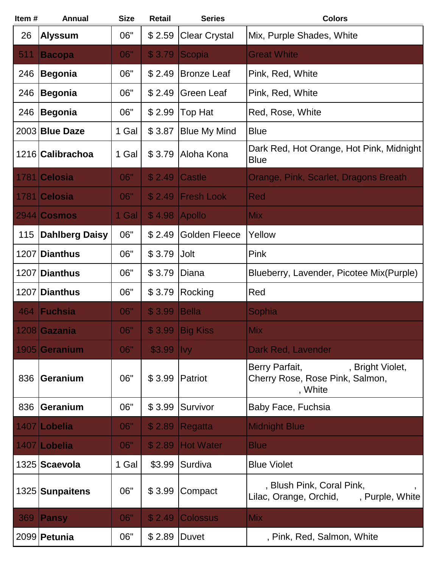| Item# | <b>Annual</b>         | <b>Size</b> | <b>Retail</b>  | <b>Series</b>        | <b>Colors</b>                                                                    |
|-------|-----------------------|-------------|----------------|----------------------|----------------------------------------------------------------------------------|
| 26    | <b>Alyssum</b>        | 06"         | \$2.59         | <b>Clear Crystal</b> | Mix, Purple Shades, White                                                        |
| 511   | <b>Bacopa</b>         | 06"         | \$3.79         | Scopia               | <b>Great White</b>                                                               |
| 246   | <b>Begonia</b>        | 06"         | \$2.49         | <b>Bronze Leaf</b>   | Pink, Red, White                                                                 |
| 246   | <b>Begonia</b>        | 06"         | \$2.49         | <b>Green Leaf</b>    | Pink, Red, White                                                                 |
| 246   | <b>Begonia</b>        | 06"         | \$2.99         | Top Hat              | Red, Rose, White                                                                 |
|       | 2003 Blue Daze        | 1 Gal       | \$3.87         | <b>Blue My Mind</b>  | <b>Blue</b>                                                                      |
|       | 1216 Calibrachoa      | 1 Gal       | \$3.79         | Aloha Kona           | Dark Red, Hot Orange, Hot Pink, Midnight<br><b>Blue</b>                          |
| 1781  | <b>Celosia</b>        | 06"         | \$2.49         | <b>Castle</b>        | Orange, Pink, Scarlet, Dragons Breath                                            |
| 1781  | <b>Celosia</b>        | 06"         | \$2.49         | <b>Fresh Look</b>    | Red                                                                              |
|       | $2944$ Cosmos         | 1 Gal       | \$4.98         | <b>Apollo</b>        | <b>Mix</b>                                                                       |
| 115   | <b>Dahlberg Daisy</b> | 06"         | \$2.49         | <b>Golden Fleece</b> | Yellow                                                                           |
| 1207  | Dianthus              | 06"         | \$3.79         | Jolt                 | Pink                                                                             |
|       | 1207 Dianthus         | 06"         | \$3.79         | Diana                | Blueberry, Lavender, Picotee Mix(Purple)                                         |
| 1207  | Dianthus              | 06"         | \$3.79         | Rocking              | Red                                                                              |
| 464   | Fuchsia               | 06"         | \$3.99         | <b>Bella</b>         | Sophia                                                                           |
|       | 1208 Gazania          | 06"         |                | \$3.99 Big Kiss      | <b>Mix</b>                                                                       |
|       | 1905 Geranium         | 06"         | \$3.99         | <b>Ivy</b>           | Dark Red, Lavender                                                               |
| 836   | <b>Geranium</b>       | 06"         |                | \$3.99 Patriot       | Berry Parfait,<br>, Bright Violet,<br>Cherry Rose, Rose Pink, Salmon,<br>, White |
| 836   | <b>Geranium</b>       | 06"         | \$3.99         | Survivor             | Baby Face, Fuchsia                                                               |
|       | 1407 Lobelia          | 06"         | \$2.89         | Regatta              | <b>Midnight Blue</b>                                                             |
|       | 1407 Lobelia          | 06"         | \$2.89         | <b>Hot Water</b>     | <b>Blue</b>                                                                      |
|       | 1325 Scaevola         | 1 Gal       | \$3.99         | Surdiva              | <b>Blue Violet</b>                                                               |
|       | 1325 Sunpaitens       | 06"         | \$3.99         | Compact              | , Blush Pink, Coral Pink,<br>Lilac, Orange, Orchid,<br>, Purple, White           |
| 369   | Pansy                 | 06"         | \$2.49         | <b>Colossus</b>      | <b>Mix</b>                                                                       |
|       | 2099 Petunia          | 06"         | \$2.89   Duvet |                      | , Pink, Red, Salmon, White                                                       |